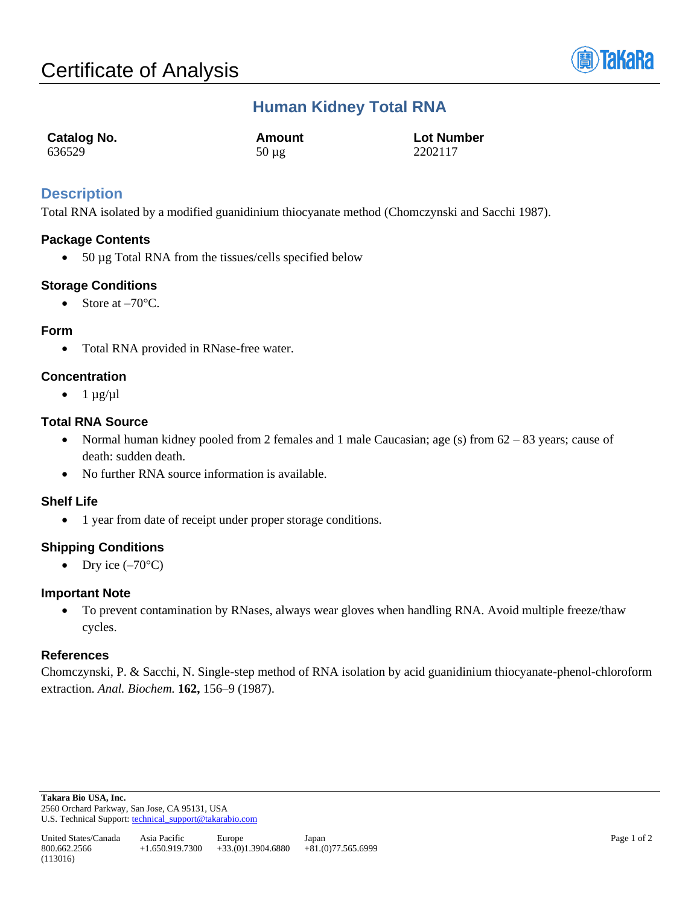

# **Human Kidney Total RNA**

| <b>Catalog No.</b> | Amount     | <b>Lot Number</b> |
|--------------------|------------|-------------------|
| 636529             | $50 \mu g$ | 2202117           |

## **Description**

Total RNA isolated by a modified guanidinium thiocyanate method (Chomczynski and Sacchi 1987).

## **Package Contents**

• 50 µg Total RNA from the tissues/cells specified below

## **Storage Conditions**

• Store at  $-70^{\circ}$ C.

## **Form**

• Total RNA provided in RNase-free water.

## **Concentration**

 $\bullet$  1  $\mu$ g/ $\mu$ l

## **Total RNA Source**

- Normal human kidney pooled from 2 females and 1 male Caucasian; age (s) from 62 83 years; cause of death: sudden death.
- No further RNA source information is available.

#### **Shelf Life**

• 1 year from date of receipt under proper storage conditions.

#### **Shipping Conditions**

• Dry ice  $(-70^{\circ}C)$ 

#### **Important Note**

• To prevent contamination by RNases, always wear gloves when handling RNA. Avoid multiple freeze/thaw cycles.

#### **References**

Chomczynski, P. & Sacchi, N. Single-step method of RNA isolation by acid guanidinium thiocyanate-phenol-chloroform extraction. *Anal. Biochem.* **162,** 156–9 (1987).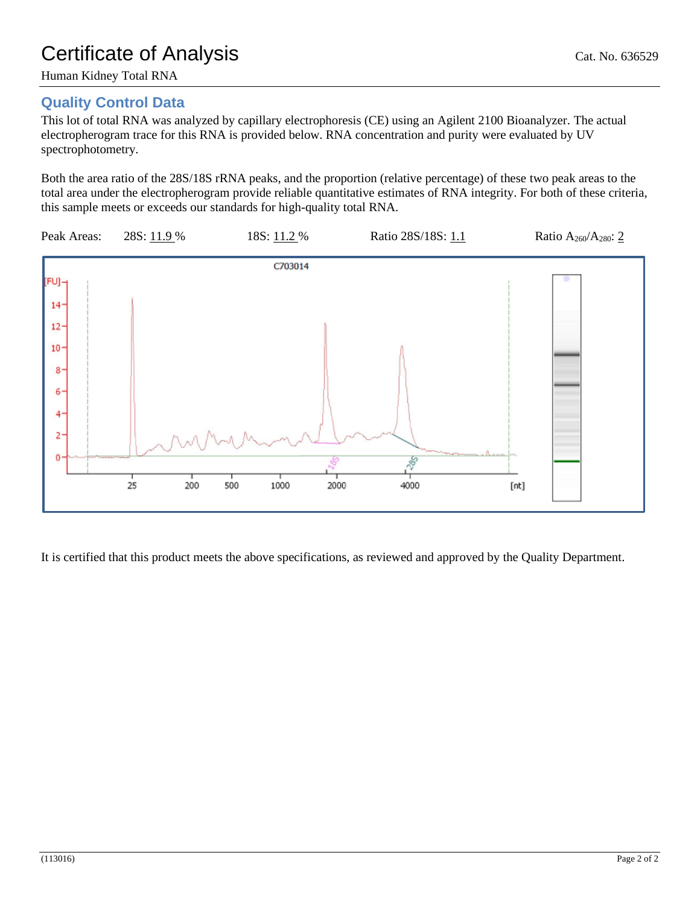## **Quality Control Data**

This lot of total RNA was analyzed by capillary electrophoresis (CE) using an Agilent 2100 Bioanalyzer. The actual electropherogram trace for this RNA is provided below. RNA concentration and purity were evaluated by UV spectrophotometry.

Both the area ratio of the 28S/18S rRNA peaks, and the proportion (relative percentage) of these two peak areas to the total area under the electropherogram provide reliable quantitative estimates of RNA integrity. For both of these criteria, this sample meets or exceeds our standards for high-quality total RNA.



It is certified that this product meets the above specifications, as reviewed and approved by the Quality Department.